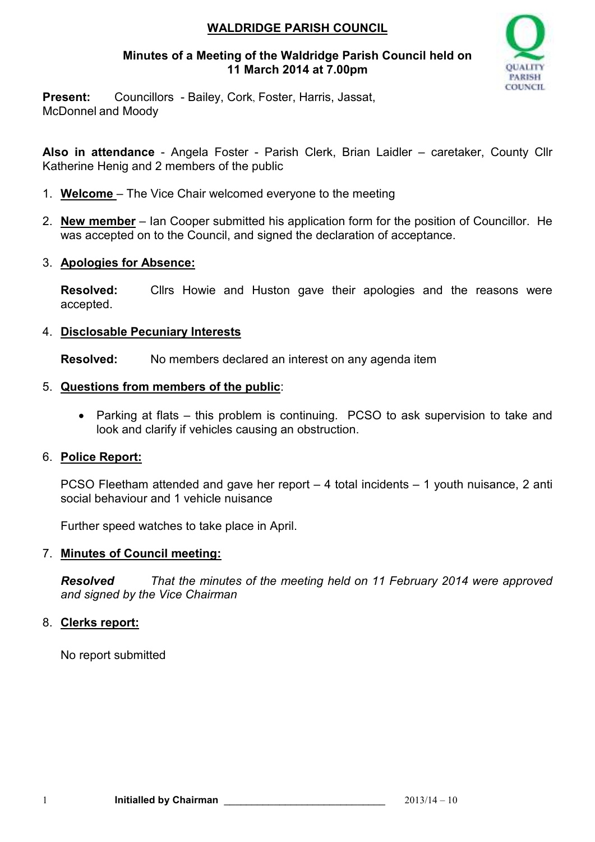## **WALDRIDGE PARISH COUNCIL**

### **Minutes of a Meeting of the Waldridge Parish Council held on 11 March 2014 at 7.00pm**



**Present:** Councillors - Bailey, Cork, Foster, Harris, Jassat, McDonnel and Moody

**Also in attendance** - Angela Foster - Parish Clerk, Brian Laidler – caretaker, County Cllr Katherine Henig and 2 members of the public

- 1. **Welcome**  The Vice Chair welcomed everyone to the meeting
- 2. **New member** Ian Cooper submitted his application form for the position of Councillor. He was accepted on to the Council, and signed the declaration of acceptance.
- 3. **Apologies for Absence:**

**Resolved:** Cllrs Howie and Huston gave their apologies and the reasons were accepted.

### 4. **Disclosable Pecuniary Interests**

**Resolved:** No members declared an interest on any agenda item

### 5. **Questions from members of the public**:

• Parking at flats – this problem is continuing. PCSO to ask supervision to take and look and clarify if vehicles causing an obstruction.

## 6. **Police Report:**

PCSO Fleetham attended and gave her report – 4 total incidents – 1 youth nuisance, 2 anti social behaviour and 1 vehicle nuisance

Further speed watches to take place in April.

## 7. **Minutes of Council meeting:**

*Resolved That the minutes of the meeting held on 11 February 2014 were approved and signed by the Vice Chairman* 

## 8. **Clerks report:**

No report submitted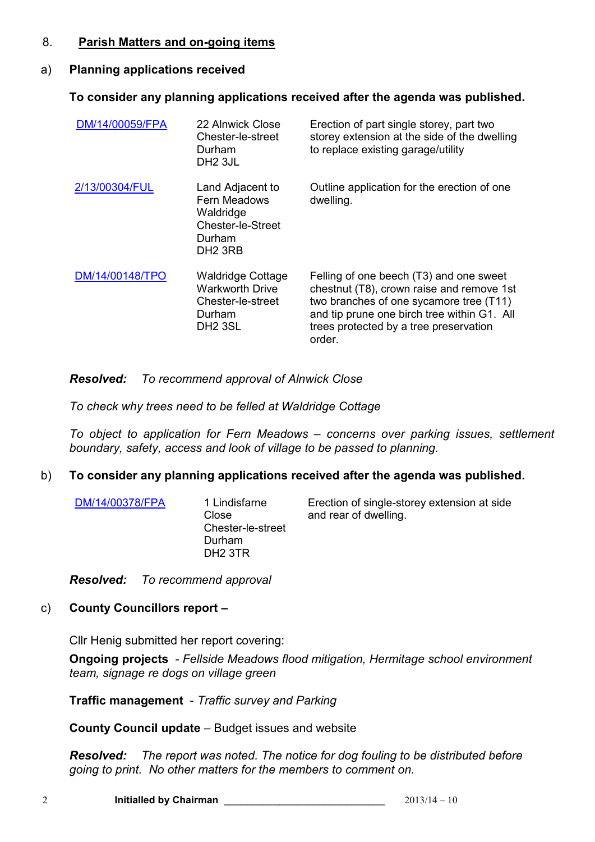### 8. **Parish Matters and on-going items**

## a) **Planning applications received**

# **To consider any planning applications received after the agenda was published.**

| DM/14/00059/FPA | 22 Alnwick Close<br>Chester-le-street<br>Durham<br>DH <sub>2</sub> 3JL                                   | Erection of part single storey, part two<br>storey extension at the side of the dwelling<br>to replace existing garage/utility                                                                                                     |
|-----------------|----------------------------------------------------------------------------------------------------------|------------------------------------------------------------------------------------------------------------------------------------------------------------------------------------------------------------------------------------|
| 2/13/00304/FUL  | Land Adjacent to<br>Fern Meadows<br>Waldridge<br>Chester-le-Street<br>Durham<br>DH <sub>2</sub> 3RB      | Outline application for the erection of one<br>dwelling.                                                                                                                                                                           |
| DM/14/00148/TPO | <b>Waldridge Cottage</b><br><b>Warkworth Drive</b><br>Chester-le-street<br>Durham<br>DH <sub>2</sub> 3SL | Felling of one beech (T3) and one sweet<br>chestnut (T8), crown raise and remove 1st<br>two branches of one sycamore tree (T11)<br>and tip prune one birch tree within G1. All<br>trees protected by a tree preservation<br>order. |

# *Resolved: To recommend approval of Alnwick Close*

*To check why trees need to be felled at Waldridge Cottage* 

*To object to application for Fern Meadows – concerns over parking issues, settlement boundary, safety, access and look of village to be passed to planning.* 

## b) **To consider any planning applications received after the agenda was published.**

DM/14/00378/FPA 1 Lindisfarne

Close Chester-le-street Durham DH2 3TR

Erection of single-storey extension at side and rear of dwelling.

*Resolved: To recommend approval* 

# c) **County Councillors report –**

Cllr Henig submitted her report covering:

**Ongoing projects** - *Fellside Meadows flood mitigation, Hermitage school environment team, signage re dogs on village green* 

**Traffic management** - *Traffic survey and Parking* 

**County Council update** – Budget issues and website

*Resolved: The report was noted. The notice for dog fouling to be distributed before going to print. No other matters for the members to comment on.*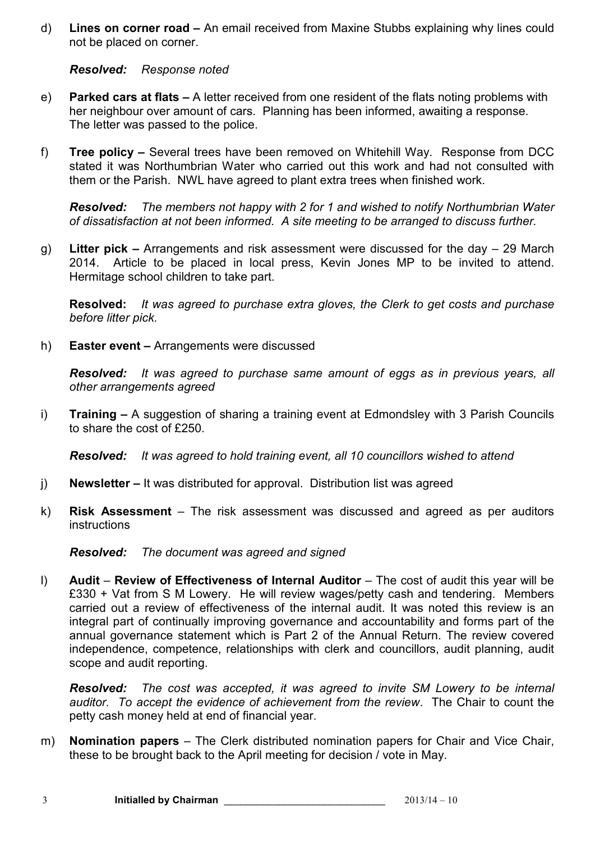d) **Lines on corner road –** An email received from Maxine Stubbs explaining why lines could not be placed on corner.

#### *Resolved: Response noted*

- e) **Parked cars at flats** A letter received from one resident of the flats noting problems with her neighbour over amount of cars. Planning has been informed, awaiting a response. The letter was passed to the police.
- f) **Tree policy** Several trees have been removed on Whitehill Way. Response from DCC stated it was Northumbrian Water who carried out this work and had not consulted with them or the Parish. NWL have agreed to plant extra trees when finished work.

*Resolved: The members not happy with 2 for 1 and wished to notify Northumbrian Water of dissatisfaction at not been informed. A site meeting to be arranged to discuss further.* 

g) **Litter pick –** Arrangements and risk assessment were discussed for the day – 29 March 2014. Article to be placed in local press, Kevin Jones MP to be invited to attend. Hermitage school children to take part.

**Resolved:** *It was agreed to purchase extra gloves, the Clerk to get costs and purchase before litter pick.* 

h) **Easter event –** Arrangements were discussed

*Resolved: It was agreed to purchase same amount of eggs as in previous years, all other arrangements agreed* 

i) **Training –** A suggestion of sharing a training event at Edmondsley with 3 Parish Councils to share the cost of £250.

*Resolved: It was agreed to hold training event, all 10 councillors wished to attend* 

- j) **Newsletter** It was distributed for approval. Distribution list was agreed
- k) **Risk Assessment**  The risk assessment was discussed and agreed as per auditors instructions

*Resolved: The document was agreed and signed* 

l) **Audit** – **Review of Effectiveness of Internal Auditor** – The cost of audit this year will be £330 + Vat from S M Lowery. He will review wages/petty cash and tendering. Members carried out a review of effectiveness of the internal audit. It was noted this review is an integral part of continually improving governance and accountability and forms part of the annual governance statement which is Part 2 of the Annual Return. The review covered independence, competence, relationships with clerk and councillors, audit planning, audit scope and audit reporting.

*Resolved: The cost was accepted, it was agreed to invite SM Lowery to be internal auditor. To accept the evidence of achievement from the review*. The Chair to count the petty cash money held at end of financial year.

m) **Nomination papers** – The Clerk distributed nomination papers for Chair and Vice Chair, these to be brought back to the April meeting for decision / vote in May.